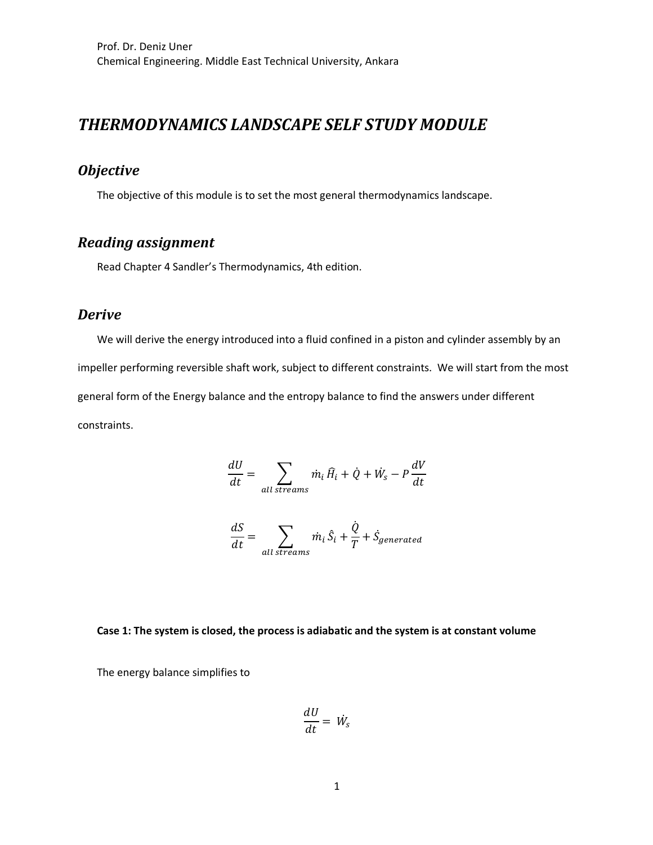# *THERMODYNAMICS LANDSCAPE SELF STUDY MODULE*

## *Objective*

The objective of this module is to set the most general thermodynamics landscape.

# *Reading assignment*

Read Chapter 4 Sandler's Thermodynamics, 4th edition.

### *Derive*

We will derive the energy introduced into a fluid confined in a piston and cylinder assembly by an impeller performing reversible shaft work, subject to different constraints. We will start from the most general form of the Energy balance and the entropy balance to find the answers under different constraints.

$$
\frac{dU}{dt} = \sum_{all\ stress} \dot{m}_i \hat{H}_i + \dot{Q} + \dot{W}_s - P\frac{dV}{dt}
$$

$$
\frac{dS}{dt} = \sum_{all\ stress} \dot{m}_i \hat{S}_i + \frac{\dot{Q}}{T} + \dot{S}_{generated}
$$

#### **Case 1: The system is closed, the process is adiabatic and the system is at constant volume**

The energy balance simplifies to

$$
\frac{dU}{dt} = W_s
$$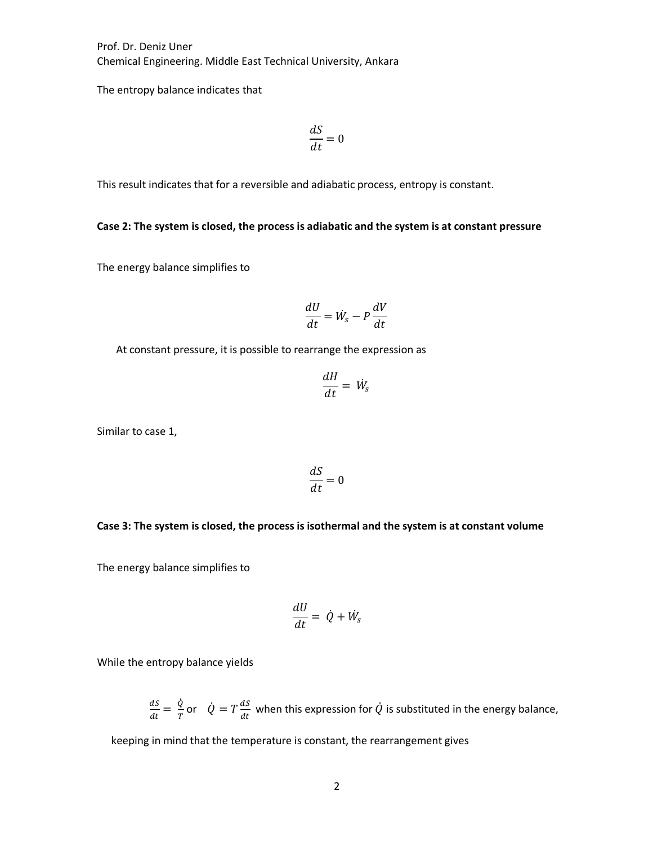The entropy balance indicates that

$$
\frac{dS}{dt} = 0
$$

This result indicates that for a reversible and adiabatic process, entropy is constant.

### **Case 2: The system is closed, the process is adiabatic and the system is at constant pressure**

The energy balance simplifies to

$$
\frac{dU}{dt} = \dot{W}_s - P\frac{dV}{dt}
$$

At constant pressure, it is possible to rearrange the expression as

$$
\frac{dH}{dt} = W_s
$$

Similar to case 1,

$$
\frac{dS}{dt} = 0
$$

#### **Case 3: The system is closed, the process is isothermal and the system is at constant volume**

The energy balance simplifies to

$$
\frac{dU}{dt} = \dot{Q} + \dot{W}_s
$$

While the entropy balance yields

$$
\frac{dS}{dt} = \frac{\dot{Q}}{T}
$$
 or  $\dot{Q} = T \frac{dS}{dt}$  when this expression for  $\dot{Q}$  is substituted in the energy balance,

keeping in mind that the temperature is constant, the rearrangement gives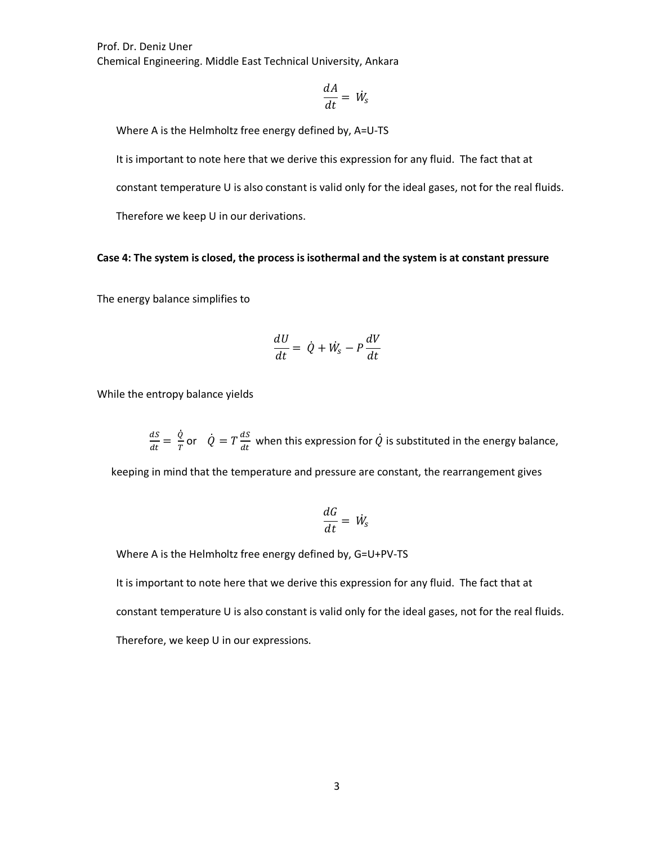$$
\frac{dA}{dt} = W_s
$$

Where A is the Helmholtz free energy defined by, A=U-TS

It is important to note here that we derive this expression for any fluid. The fact that at

constant temperature U is also constant is valid only for the ideal gases, not for the real fluids.

Therefore we keep U in our derivations.

#### **Case 4: The system is closed, the process is isothermal and the system is at constant pressure**

The energy balance simplifies to

$$
\frac{dU}{dt} = \dot{Q} + \dot{W}_s - P\frac{dV}{dt}
$$

While the entropy balance yields

 $\frac{dS}{dt} = \frac{\dot{Q}}{T}$  or  $\dot{Q} = T \frac{dS}{dt}$  when this expression for  $\dot{Q}$  is substituted in the energy balance, ֧֧֦֧֢֦֧֦֧֦֧֦֧֦֧ׅ֧֦֧֧ׅ֧֧ׅ֧֧֧ׅ֝֜֓֓֜֜֓֓֝֬֜֓֓֝֬֜֜֓֬

keeping in mind that the temperature and pressure are constant, the rearrangement gives

$$
\frac{dG}{dt} = W_s
$$

Where A is the Helmholtz free energy defined by, G=U+PV-TS

It is important to note here that we derive this expression for any fluid. The fact that at

constant temperature U is also constant is valid only for the ideal gases, not for the real fluids.

Therefore, we keep U in our expressions.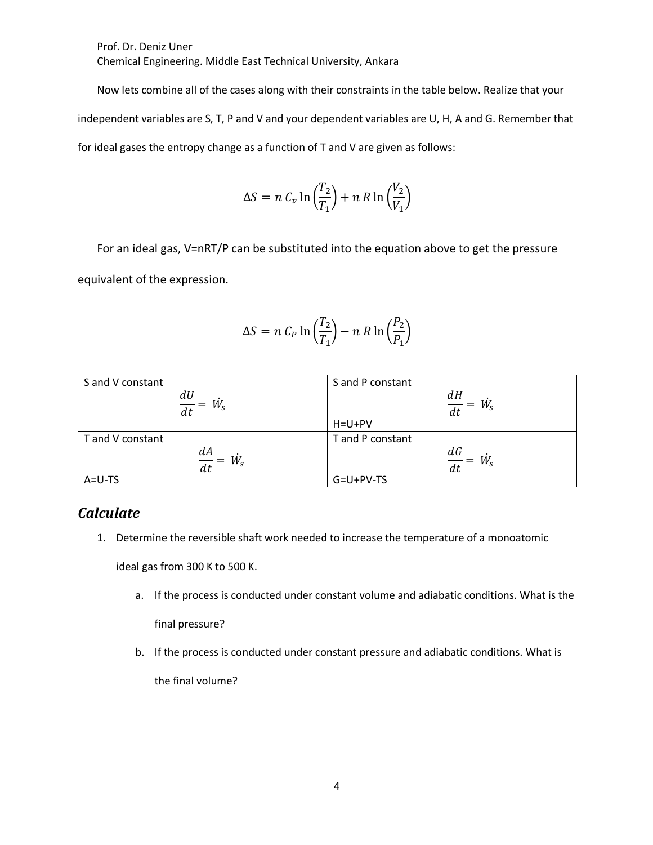Now lets combine all of the cases along with their constraints in the table below. Realize that your independent variables are S, T, P and V and your dependent variables are U, H, A and G. Remember that for ideal gases the entropy change as a function of T and V are given as follows:

$$
\Delta S = n C_v \ln \left( \frac{T_2}{T_1} \right) + n R \ln \left( \frac{V_2}{V_1} \right)
$$

For an ideal gas, V=nRT/P can be substituted into the equation above to get the pressure equivalent of the expression.

$$
\Delta S = n C_P \ln \left( \frac{T_2}{T_1} \right) - n R \ln \left( \frac{P_2}{P_1} \right)
$$

| S and V constant      | S and P constant      |
|-----------------------|-----------------------|
|                       |                       |
| $\frac{dU}{dt} = W_s$ | $\frac{dH}{dt} = W_s$ |
|                       | $H = U + PV$          |
| T and V constant      | T and P constant      |
|                       |                       |
| $\frac{dA}{dt} = W_s$ | $\frac{dG}{dt} = W_s$ |
| $A=U-TS$              | $G=U+PV-TS$           |

### *Calculate*

1. Determine the reversible shaft work needed to increase the temperature of a monoatomic

ideal gas from 300 K to 500 K.

- a. If the process is conducted under constant volume and adiabatic conditions. What is the final pressure?
- b. If the process is conducted under constant pressure and adiabatic conditions. What is the final volume?